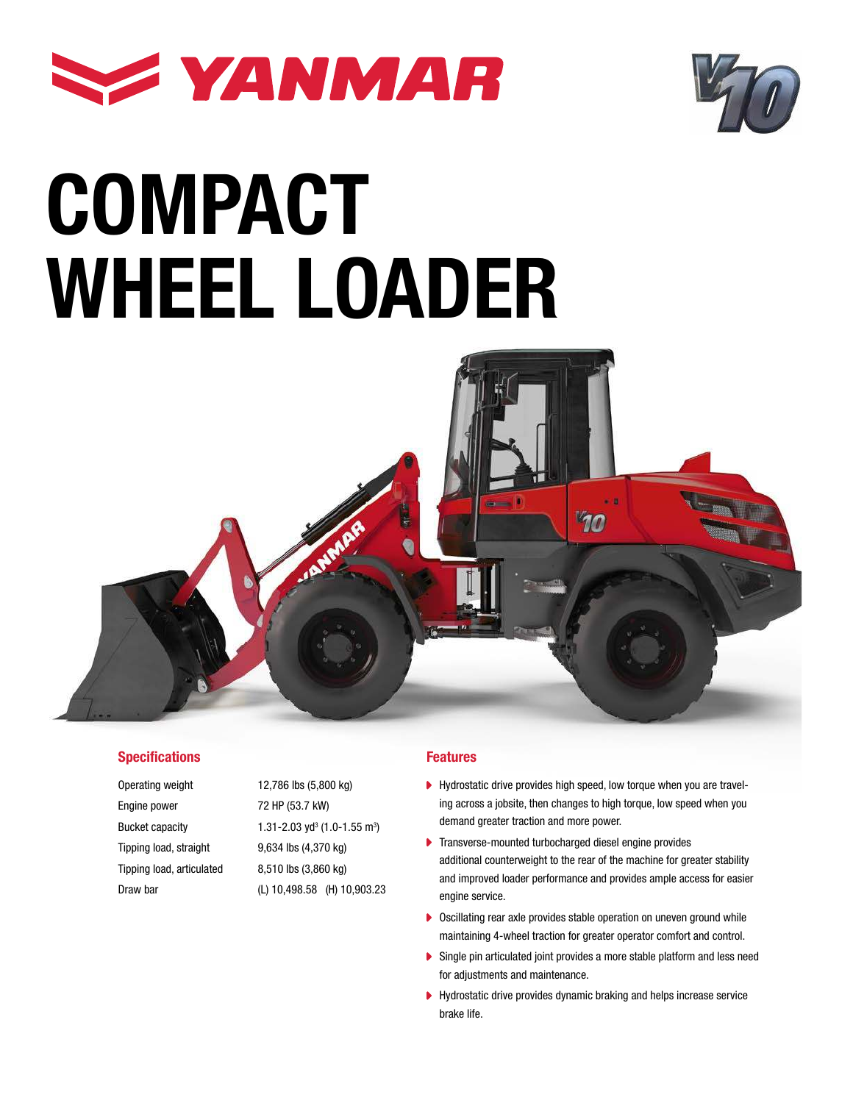



# COMPACT WHEEL LOADER



#### **Specifications**

Operating weight 12,786 lbs (5,800 kg) Engine power 72 HP (53.7 kW) Bucket capacity Tipping load, straight 9,634 lbs (4,370 kg) Tipping load, articulated 8,510 lbs (3,860 kg) Draw bar (L) 10,498.58 (H) 10,903.23

 $(1.0 - 1.55)$  m<sup>3</sup>)

#### Features

- Hydrostatic drive provides high speed, low torque when you are traveling across a jobsite, then changes to high torque, low speed when you demand greater traction and more power.
- Transverse-mounted turbocharged diesel engine provides Ы additional counterweight to the rear of the machine for greater stability and improved loader performance and provides ample access for easier engine service.
- ▶ Oscillating rear axle provides stable operation on uneven ground while maintaining 4-wheel traction for greater operator comfort and control.
- $\blacktriangleright$ Single pin articulated joint provides a more stable platform and less need for adjustments and maintenance.
- Hydrostatic drive provides dynamic braking and helps increase service brake life.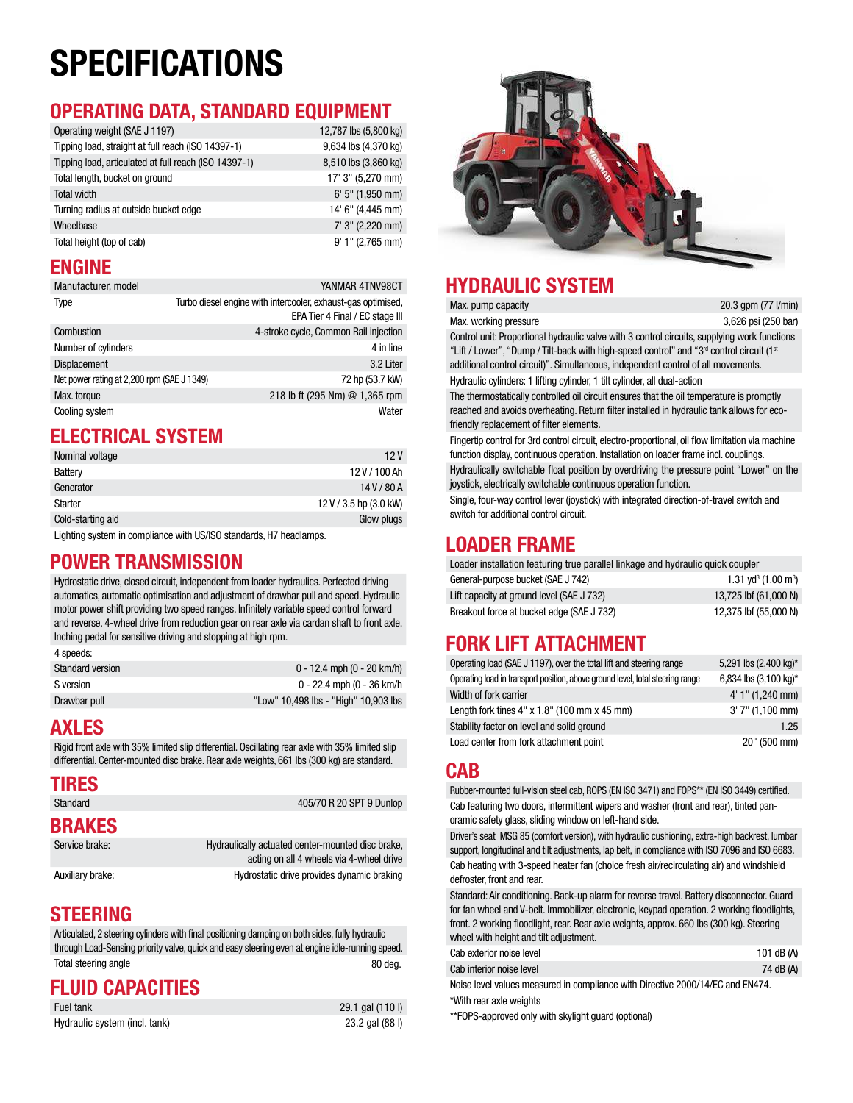# SPECIFICATIONS

#### OPERATING DATA, STANDARD EQUIPMENT

| Operating weight (SAE J 1197)                         | 12,787 lbs (5,800 kg) |
|-------------------------------------------------------|-----------------------|
| Tipping load, straight at full reach (ISO 14397-1)    | 9,634 lbs (4,370 kg)  |
| Tipping load, articulated at full reach (ISO 14397-1) | 8,510 lbs (3,860 kg)  |
| Total length, bucket on ground                        | 17' 3" (5,270 mm)     |
| Total width                                           | $6'$ 5" (1,950 mm)    |
| Turning radius at outside bucket edge                 | 14' 6" (4,445 mm)     |
| Wheelbase                                             | 7' 3" (2,220 mm)      |
| Total height (top of cab)                             | $9'1''$ (2,765 mm)    |

#### ENGINE

| Manufacturer, model                        | YANMAR 4TNV98CT                                                                                 |
|--------------------------------------------|-------------------------------------------------------------------------------------------------|
| Type                                       | Turbo diesel engine with intercooler, exhaust-gas optimised,<br>EPA Tier 4 Final / EC stage III |
| Combustion                                 | 4-stroke cycle, Common Rail injection                                                           |
| Number of cylinders                        | 4 in line                                                                                       |
| <b>Displacement</b>                        | 3.2 Liter                                                                                       |
| Net power rating at 2,200 rpm (SAE J 1349) | 72 hp (53.7 kW)                                                                                 |
| Max. torque                                | 218 lb ft (295 Nm) @ 1,365 rpm                                                                  |
| Cooling system                             | Water                                                                                           |

#### ELECTRICAL SYSTEM

| Nominal voltage   | 12V                    |
|-------------------|------------------------|
| Battery           | 12 V / 100 Ah          |
| Generator         | 14V/80A                |
| Starter           | 12 V / 3.5 hp (3.0 kW) |
| Cold-starting aid | Glow plugs             |
|                   |                        |

Lighting system in compliance with US/ISO standards, H7 headlamps.

#### POWER TRANSMISSION

Hydrostatic drive, closed circuit, independent from loader hydraulics. Perfected driving automatics, automatic optimisation and adjustment of drawbar pull and speed. Hydraulic motor power shift providing two speed ranges. Infinitely variable speed control forward and reverse. 4-wheel drive from reduction gear on rear axle via cardan shaft to front axle. Inching pedal for sensitive driving and stopping at high rpm.

| 4 speeds:        |                                      |
|------------------|--------------------------------------|
| Standard version | $0 - 12.4$ mph $(0 - 20$ km/h)       |
| S version        | 0 - 22.4 mph (0 - 36 km/h            |
| Drawbar pull     | "Low" 10,498 lbs - "High" 10,903 lbs |

#### AXLES

Rigid front axle with 35% limited slip differential. Oscillating rear axle with 35% limited slip differential. Center-mounted disc brake. Rear axle weights, 661 lbs (300 kg) are standard.  $\bigcap$ 

| <b>TIRES</b>     |                                                                                               |
|------------------|-----------------------------------------------------------------------------------------------|
| Standard         | 405/70 R 20 SPT 9 Dunlop                                                                      |
| <b>BRAKES</b>    |                                                                                               |
| Service brake:   | Hydraulically actuated center-mounted disc brake,<br>acting on all 4 wheels via 4-wheel drive |
| Auxiliary brake: | Hydrostatic drive provides dynamic braking                                                    |

#### STEERING

Articulated, 2 steering cylinders with final positioning damping on both sides, fully hydraulic through Load-Sensing priority valve, quick and easy steering even at engine idle-running speed. Total steering angle 80 deg.

#### FLUID CAPACITIES

| Fuel tank                     | 29.1 gal (110 l) |
|-------------------------------|------------------|
| Hydraulic system (incl. tank) | 23.2 gal (88 l)  |



#### HYDRAULIC SYSTEM Max. pump capacity

| Max. pump capacity    | 20.3 gpm (77 l/min) |
|-----------------------|---------------------|
| Max. working pressure | 3,626 psi (250 bar) |
|                       |                     |

Control unit: Proportional hydraulic valve with 3 control circuits, supplying work functions "Lift / Lower", "Dump / Tilt-back with high-speed control" and "3<sup>rd</sup> control circuit (1st additional control circuit)". Simultaneous, independent control of all movements. Hydraulic cylinders: 1 lifting cylinder, 1 tilt cylinder, all dual-action

The thermostatically controlled oil circuit ensures that the oil temperature is promptly reached and avoids overheating. Return filter installed in hydraulic tank allows for ecofriendly replacement of filter elements.

Fingertip control for 3rd control circuit, electro-proportional, oil flow limitation via machine function display, continuous operation. Installation on loader frame incl. couplings.

Hydraulically switchable float position by overdriving the pressure point "Lower" on the joystick, electrically switchable continuous operation function.

Single, four-way control lever (joystick) with integrated direction-of-travel switch and switch for additional control circuit.

#### LOADER FRAME

| Loader installation featuring true parallel linkage and hydraulic quick coupler |                                             |  |  |
|---------------------------------------------------------------------------------|---------------------------------------------|--|--|
| General-purpose bucket (SAE J 742)                                              | 1.31 vd <sup>3</sup> (1.00 m <sup>3</sup> ) |  |  |
| Lift capacity at ground level (SAE J 732)                                       | 13.725 lbf (61.000 N)                       |  |  |
| Breakout force at bucket edge (SAE J 732)                                       | 12,375 lbf (55,000 N)                       |  |  |

#### FORK LIFT ATTACHMENT

| Operating load (SAE J 1197), over the total lift and steering range            | 5,291 lbs (2,400 kg)* |
|--------------------------------------------------------------------------------|-----------------------|
| Operating load in transport position, above ground level, total steering range | 6,834 lbs (3,100 kg)* |
| Width of fork carrier                                                          | 4' 1" (1,240 mm)      |
| Length fork tines $4" \times 1.8"$ (100 mm $\times$ 45 mm)                     | $3'$ 7" (1,100 mm)    |
| Stability factor on level and solid ground                                     | 1.25                  |
| Load center from fork attachment point                                         | $20"$ (500 mm)        |

Rubber-mounted full-vision steel cab, ROPS (EN ISO 3471) and FOPS\*\* (EN ISO 3449) certified. Cab featuring two doors, intermittent wipers and washer (front and rear), tinted panoramic safety glass, sliding window on left-hand side.

Driver's seat MSG 85 (comfort version), with hydraulic cushioning, extra-high backrest, lumbar support, longitudinal and tilt adjustments, lap belt, in compliance with ISO 7096 and ISO 6683. Cab heating with 3-speed heater fan (choice fresh air/recirculating air) and windshield defroster, front and rear.

Standard: Air conditioning. Back-up alarm for reverse travel. Battery disconnector. Guard for fan wheel and V-belt. Immobilizer, electronic, keypad operation. 2 working floodlights, front. 2 working floodlight, rear. Rear axle weights, approx. 660 lbs (300 kg). Steering wheel with height and tilt adjustment.

| Cab exterior noise level                                                       | 101 dB (A) |
|--------------------------------------------------------------------------------|------------|
| Cab interior noise level                                                       | 74 dB (A)  |
| Noise level values measured in compliance with Directive 2000/14/EC and EN474. |            |

\*With rear axle weights \*\*FOPS-approved only with skylight guard (optional)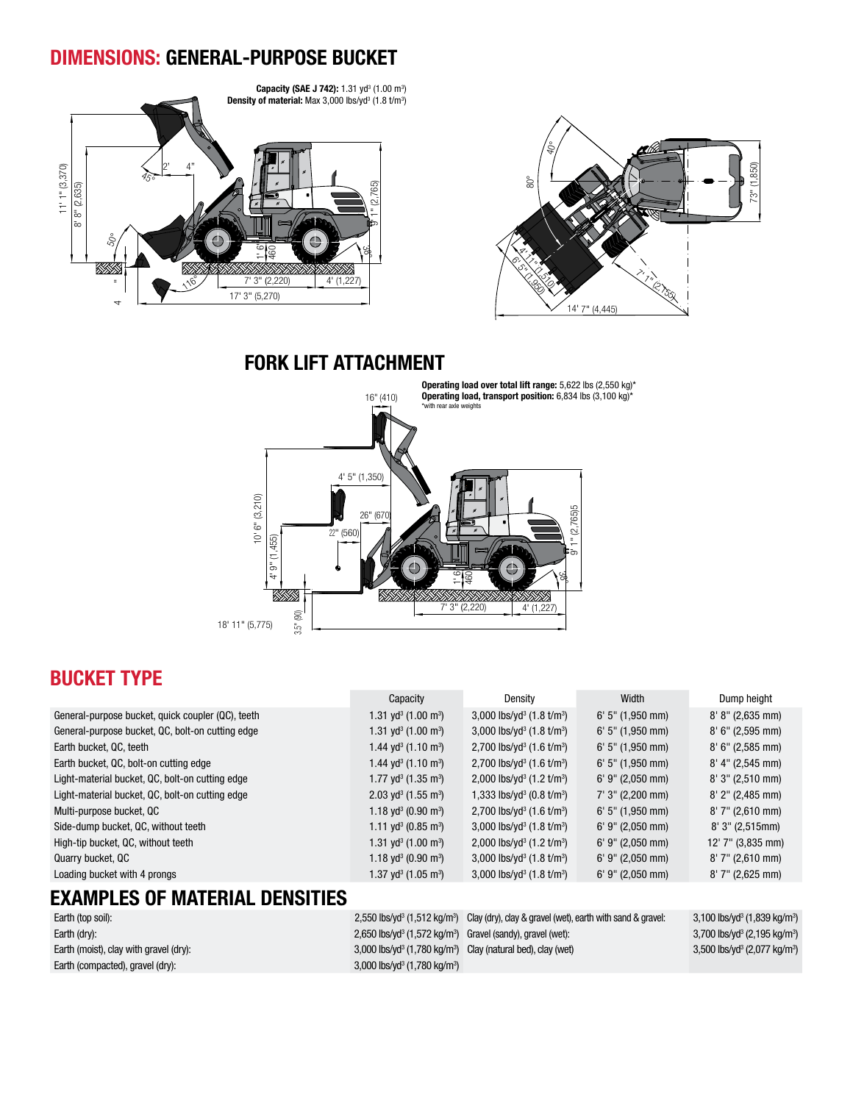#### DIMENSIONS: GENERAL-PURPOSE BUCKET





FORK LIFT ATTACHMENT



#### BUCKET TYPE

|                                                   | Capacity                                      | Density                                           | Width              | Dump height                 |
|---------------------------------------------------|-----------------------------------------------|---------------------------------------------------|--------------------|-----------------------------|
| General-purpose bucket, quick coupler (QC), teeth | 1.31 yd <sup>3</sup> (1.00 m <sup>3</sup> )   | 3,000 lbs/yd <sup>3</sup> $(1.8 \text{ t/m}^3)$   | $6'$ 5" (1,950 mm) | $8' 8'' (2,635 \text{ mm})$ |
| General-purpose bucket, QC, bolt-on cutting edge  | 1.31 yd <sup>3</sup> (1.00 m <sup>3</sup> )   | 3,000 lbs/yd <sup>3</sup> $(1.8 \text{ t/m}^3)$   | $6'$ 5" (1,950 mm) | $8'$ 6" (2,595 mm)          |
| Earth bucket, QC, teeth                           | 1.44 yd <sup>3</sup> (1.10 m <sup>3</sup> )   | 2,700 lbs/yd <sup>3</sup> (1.6 t/m <sup>3</sup> ) | $6'$ 5" (1,950 mm) | $8'$ 6" (2,585 mm)          |
| Earth bucket, QC, bolt-on cutting edge            | 1.44 yd <sup>3</sup> (1.10 m <sup>3</sup> )   | 2,700 lbs/yd <sup>3</sup> $(1.6 \text{ t/m}^3)$   | $6'$ 5" (1,950 mm) | $8'$ 4" (2,545 mm)          |
| Light-material bucket, QC, bolt-on cutting edge   | 1.77 yd <sup>3</sup> (1.35 m <sup>3</sup> )   | 2,000 lbs/yd <sup>3</sup> $(1.2 \text{ t/m}^3)$   | $6'$ 9" (2,050 mm) | $8'3''$ (2,510 mm)          |
| Light-material bucket, QC, bolt-on cutting edge   | $2.03$ yd <sup>3</sup> (1.55 m <sup>3</sup> ) | 1,333 lbs/yd <sup>3</sup> (0.8 t/m <sup>3</sup> ) | $7'$ 3" (2,200 mm) | $8'$ 2" (2,485 mm)          |
| Multi-purpose bucket, QC                          | 1.18 yd <sup>3</sup> (0.90 m <sup>3</sup> )   | 2,700 lbs/yd <sup>3</sup> $(1.6 \text{ t/m}^3)$   | $6'$ 5" (1,950 mm) | $8'$ 7" (2,610 mm)          |
| Side-dump bucket, QC, without teeth               | 1.11 yd <sup>3</sup> (0.85 m <sup>3</sup> )   | 3,000 lbs/yd <sup>3</sup> $(1.8 \text{ t/m}^3)$   | $6'$ 9" (2,050 mm) | 8'3''(2,515mm)              |
| High-tip bucket, QC, without teeth                | 1.31 yd <sup>3</sup> (1.00 m <sup>3</sup> )   | 2,000 lbs/yd <sup>3</sup> $(1.2 \text{ t/m}^3)$   | $6'$ 9" (2,050 mm) | 12' 7" (3,835 mm)           |
| Quarry bucket, QC                                 | 1.18 yd <sup>3</sup> (0.90 m <sup>3</sup> )   | 3,000 lbs/yd <sup>3</sup> $(1.8 \text{ t/m}^3)$   | $6'$ 9" (2,050 mm) | $8'$ 7" (2,610 mm)          |
| Loading bucket with 4 prongs                      | 1.37 yd <sup>3</sup> (1.05 m <sup>3</sup> )   | 3,000 lbs/yd <sup>3</sup> $(1.8 \text{ t/m}^3)$   | $6'$ 9" (2,050 mm) | $8'$ 7" (2,625 mm)          |
| <b>EXAMPLES OF MATERIAL DENSITIES</b>             |                                               |                                                   |                    |                             |

| Earth (top soil):                      |                                                                                      | $2,550$ lbs/yd <sup>3</sup> (1,512 kg/m <sup>3</sup> ) Clay (dry), clay & gravel (wet), earth with sand & gravel: | $3,100$ lbs/yd <sup>3</sup> (1,839 kg/m <sup>3</sup> ) |
|----------------------------------------|--------------------------------------------------------------------------------------|-------------------------------------------------------------------------------------------------------------------|--------------------------------------------------------|
| Earth (dry):                           | $2,650$ lbs/yd <sup>3</sup> (1,572 kg/m <sup>3</sup> ) Gravel (sandy), gravel (wet): |                                                                                                                   | 3,700 lbs/yd <sup>3</sup> (2,195 kg/m <sup>3</sup> )   |
| Earth (moist), clay with gravel (dry): |                                                                                      | $3,000$ lbs/yd <sup>3</sup> (1,780 kg/m <sup>3</sup> ) Clay (natural bed), clay (wet)                             | 3,500 lbs/yd <sup>3</sup> (2,077 kg/m <sup>3</sup> )   |
| Earth (compacted), gravel (dry):       | 3,000 lbs/yd <sup>3</sup> (1,780 kg/m <sup>3</sup> )                                 |                                                                                                                   |                                                        |